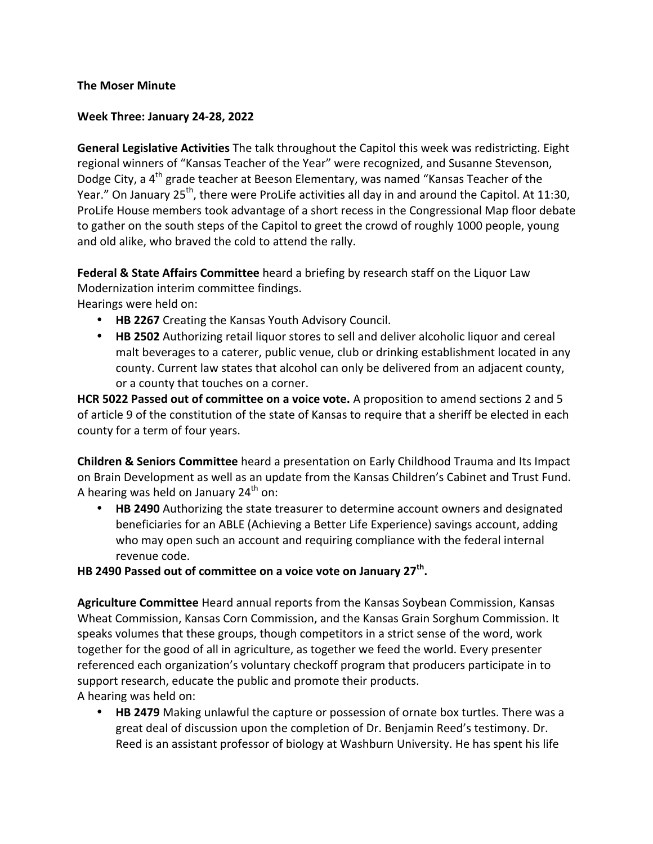## **The Moser Minute**

## **Week Three: January 24-28, 2022**

**General Legislative Activities** The talk throughout the Capitol this week was redistricting. Eight regional winners of "Kansas Teacher of the Year" were recognized, and Susanne Stevenson, Dodge City, a 4<sup>th</sup> grade teacher at Beeson Elementary, was named "Kansas Teacher of the Year." On January 25<sup>th</sup>, there were ProLife activities all day in and around the Capitol. At 11:30, ProLife House members took advantage of a short recess in the Congressional Map floor debate to gather on the south steps of the Capitol to greet the crowd of roughly 1000 people, young and old alike, who braved the cold to attend the rally.

**Federal & State Affairs Committee** heard a briefing by research staff on the Liquor Law Modernization interim committee findings.

Hearings were held on:

- HB 2267 Creating the Kansas Youth Advisory Council.
- **HB 2502** Authorizing retail liquor stores to sell and deliver alcoholic liquor and cereal malt beverages to a caterer, public venue, club or drinking establishment located in any county. Current law states that alcohol can only be delivered from an adjacent county, or a county that touches on a corner.

**HCR 5022 Passed out of committee on a voice vote.** A proposition to amend sections 2 and 5 of article 9 of the constitution of the state of Kansas to require that a sheriff be elected in each county for a term of four years.

**Children & Seniors Committee** heard a presentation on Early Childhood Trauma and Its Impact on Brain Development as well as an update from the Kansas Children's Cabinet and Trust Fund. A hearing was held on January  $24<sup>th</sup>$  on:

• HB 2490 Authorizing the state treasurer to determine account owners and designated beneficiaries for an ABLE (Achieving a Better Life Experience) savings account, adding who may open such an account and requiring compliance with the federal internal revenue code.

## **HB** 2490 Passed out of committee on a voice vote on January 27<sup>th</sup>.

**Agriculture Committee** Heard annual reports from the Kansas Soybean Commission, Kansas Wheat Commission, Kansas Corn Commission, and the Kansas Grain Sorghum Commission. It speaks volumes that these groups, though competitors in a strict sense of the word, work together for the good of all in agriculture, as together we feed the world. Every presenter referenced each organization's voluntary checkoff program that producers participate in to support research, educate the public and promote their products. A hearing was held on:

• **HB 2479** Making unlawful the capture or possession of ornate box turtles. There was a great deal of discussion upon the completion of Dr. Benjamin Reed's testimony. Dr. Reed is an assistant professor of biology at Washburn University. He has spent his life